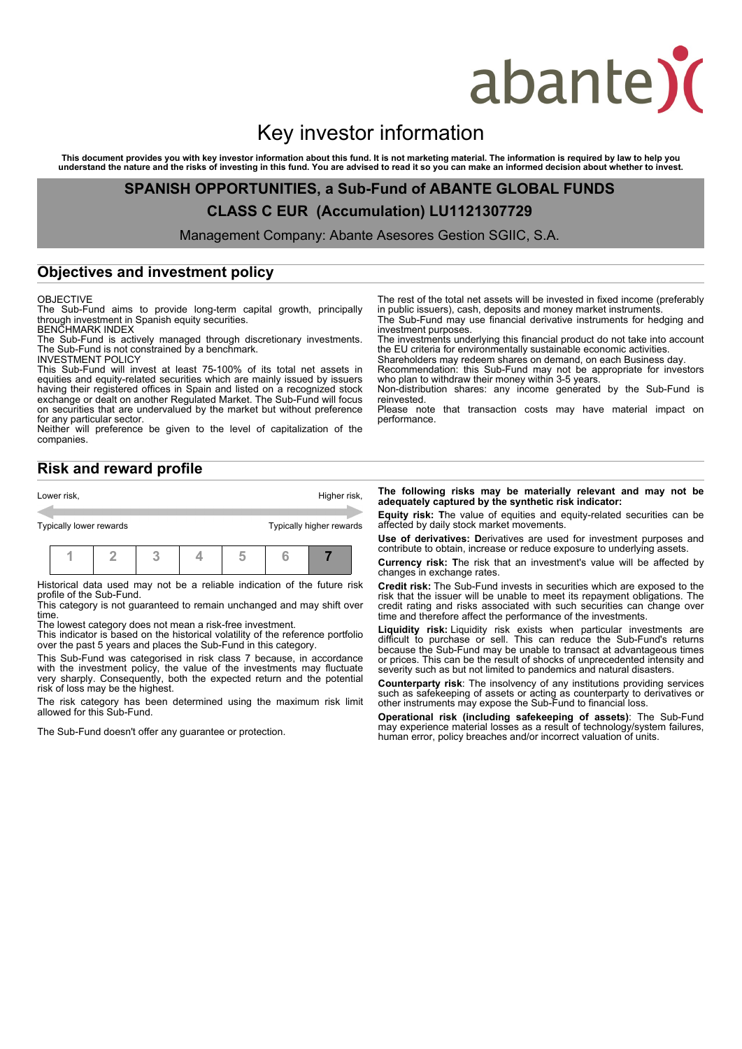# abante)(

# Key investor information

This document provides you with key investor information about this fund. It is not marketing material. The information is required by law to help you<br>understand the nature and the risks of investing in this fund. You are

**SPANISH OPPORTUNITIES, a Sub-Fund of ABANTE GLOBAL FUNDS**

# **CLASS C EUR (Accumulation) LU1121307729**

Management Company: Abante Asesores Gestion SGIIC, S.A.

## **Objectives and investment policy**

#### OBJECTIVE

The Sub-Fund aims to provide long-term capital growth, principally through investment in Spanish equity securities. BENCHMARK INDEX

The Sub-Fund is actively managed through discretionary investments. The Sub-Fund is not constrained by a benchmark.

INVESTMENT POLICY

This Sub-Fund will invest at least 75-100% of its total net assets in equities and equity-related securities which are mainly issued by issuers having their registered offices in Spain and listed on a recognized stock exchange or dealt on another Regulated Market. The Sub-Fund will focus on securities that are undervalued by the market but without preference for any particular sector.

Neither will preference be given to the level of capitalization of the companies.

in public issuers), cash, deposits and money market instruments The Sub-Fund may use financial derivative instruments for hedging and investment purposes. The investments underlying this financial product do not take into account the EU criteria for environmentally sustainable economic activities.

The rest of the total net assets will be invested in fixed income (preferably

Shareholders may redeem shares on demand, on each Business day.

Recommendation: this Sub-Fund may not be appropriate for investors who plan to withdraw their money within 3-5 years. Non-distribution shares: any income generated by the Sub-Fund is reinvested.

Please note that transaction costs may have material impact on performance.

## **Risk and reward profile**



Historical data used may not be a reliable indication of the future risk profile of the Sub-Fund.

This category is not guaranteed to remain unchanged and may shift over time.

The lowest category does not mean a risk-free investment.

This indicator is based on the historical volatility of the reference portfolio over the past 5 years and places the Sub-Fund in this category.

This Sub-Fund was categorised in risk class 7 because, in accordance with the investment policy, the value of the investments may fluctuate very sharply. Consequently, both the expected return and the potential risk of loss may be the highest.

The risk category has been determined using the maximum risk limit allowed for this Sub-Fund.

The Sub-Fund doesn't offer any guarantee or protection.

**The following risks may be materially relevant and may not be adequately captured by the synthetic risk indicator:**

**Equity risk: T**he value of equities and equity-related securities can be affected by daily stock market movements.

**Use of derivatives: D**erivatives are used for investment purposes and contribute to obtain, increase or reduce exposure to underlying assets.

**Currency risk: T**he risk that an investment's value will be affected by changes in exchange rates.

**Credit risk:** The Sub-Fund invests in securities which are exposed to the risk that the issuer will be unable to meet its repayment obligations. The credit rating and risks associated with such securities can change over time and therefore affect the performance of the investments.

**Liquidity risk:** Liquidity risk exists when particular investments are difficult to purchase or sell. This can reduce the Sub-Fund's returns because the Sub-Fund may be unable to transact at advantageous times or prices. This can be the result of shocks of unprecedented intensity and severity such as but not limited to pandemics and natural disasters.

**Counterparty risk**: The insolvency of any institutions providing services such as safekeeping of assets or acting as counterparty to derivatives or other instruments may expose the Sub-Fund to financial loss.

**Operational risk (including safekeeping of assets)**: The Sub-Fund may experience material losses as a result of technology/system failures, human error, policy breaches and/or incorrect valuation of units.